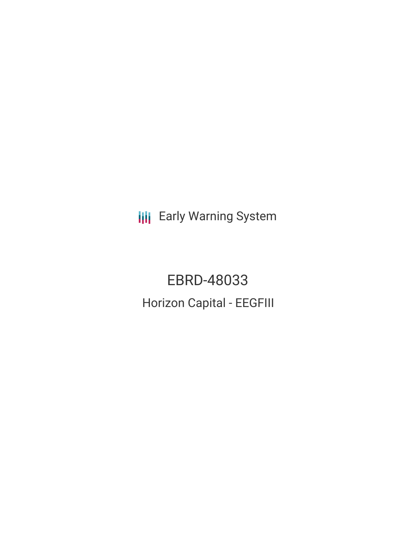**III** Early Warning System

EBRD-48033 Horizon Capital - EEGFIII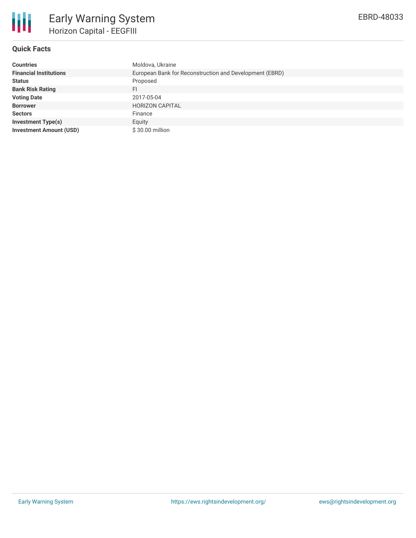

## **Quick Facts**

| <b>Countries</b>               | Moldova, Ukraine                                        |
|--------------------------------|---------------------------------------------------------|
| <b>Financial Institutions</b>  | European Bank for Reconstruction and Development (EBRD) |
| <b>Status</b>                  | Proposed                                                |
| <b>Bank Risk Rating</b>        | FI                                                      |
| <b>Voting Date</b>             | 2017-05-04                                              |
| <b>Borrower</b>                | <b>HORIZON CAPITAL</b>                                  |
| <b>Sectors</b>                 | Finance                                                 |
| <b>Investment Type(s)</b>      | Equity                                                  |
| <b>Investment Amount (USD)</b> | \$30.00 million                                         |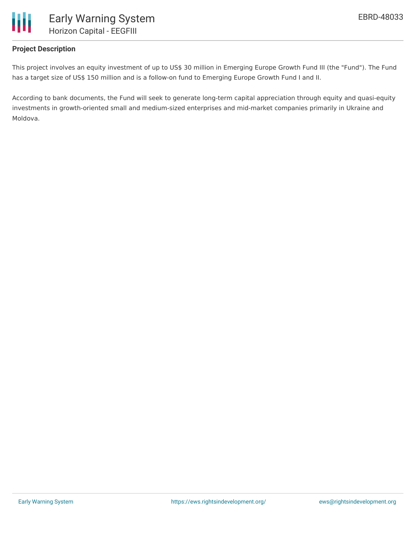

## **Project Description**

This project involves an equity investment of up to US\$ 30 million in Emerging Europe Growth Fund III (the "Fund"). The Fund has a target size of US\$ 150 million and is a follow-on fund to Emerging Europe Growth Fund I and II.

According to bank documents, the Fund will seek to generate long-term capital appreciation through equity and quasi-equity investments in growth-oriented small and medium-sized enterprises and mid-market companies primarily in Ukraine and Moldova.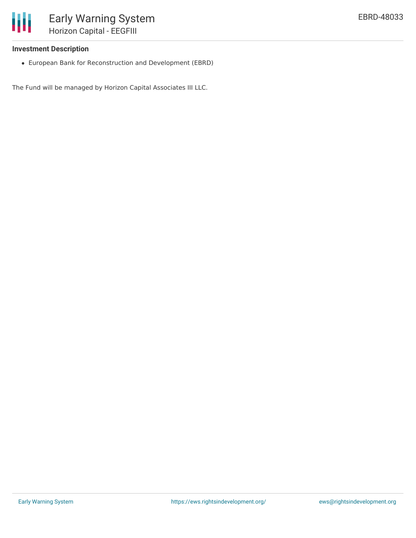

## **Investment Description**

European Bank for Reconstruction and Development (EBRD)

The Fund will be managed by Horizon Capital Associates III LLC.